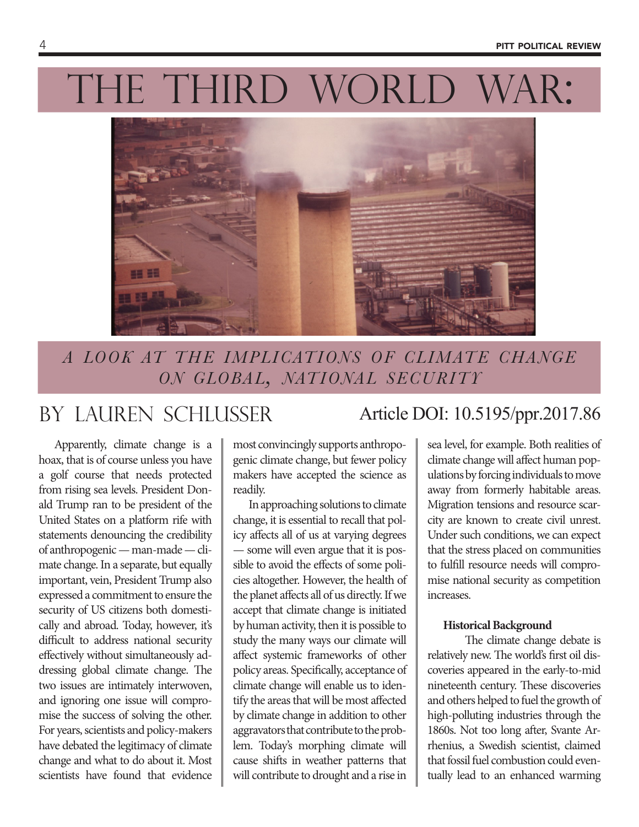# THE THIRD WORLD WAR:



*a look at the implications of climate change on global, national security*

Apparently, climate change is a hoax, that is of course unless you have a golf course that needs protected from rising sea levels. President Donald Trump ran to be president of the United States on a platform rife with statements denouncing the credibility of anthropogenic — man-made — climate change. In a separate, but equally important, vein, President Trump also expressed a commitment to ensure the security of US citizens both domestically and abroad. Today, however, it's difficult to address national security effectively without simultaneously addressing global climate change. The two issues are intimately interwoven, and ignoring one issue will compromise the success of solving the other. For years, scientists and policy-makers have debated the legitimacy of climate change and what to do about it. Most scientists have found that evidence

most convincingly supports anthropogenic climate change, but fewer policy makers have accepted the science as readily.

In approaching solutions to climate change, it is essential to recall that policy affects all of us at varying degrees — some will even argue that it is possible to avoid the effects of some policies altogether. However, the health of the planet affects all of us directly. If we accept that climate change is initiated by human activity, then it is possible to study the many ways our climate will affect systemic frameworks of other policy areas. Specifically, acceptance of climate change will enable us to identify the areas that will be most affected by climate change in addition to other aggravators that contribute to the problem. Today's morphing climate will cause shifts in weather patterns that will contribute to drought and a rise in

## by lauren schlusser Article DOI: 10.5195/ppr.2017.86

sea level, for example. Both realities of climate change will affect human populations by forcing individuals to move away from formerly habitable areas. Migration tensions and resource scarcity are known to create civil unrest. Under such conditions, we can expect that the stress placed on communities to fulfill resource needs will compromise national security as competition increases.

#### **Historical Background**

The climate change debate is relatively new. The world's first oil discoveries appeared in the early-to-mid nineteenth century. These discoveries and others helped to fuel the growth of high-polluting industries through the 1860s. Not too long after, Svante Arrhenius, a Swedish scientist, claimed that fossil fuel combustion could eventually lead to an enhanced warming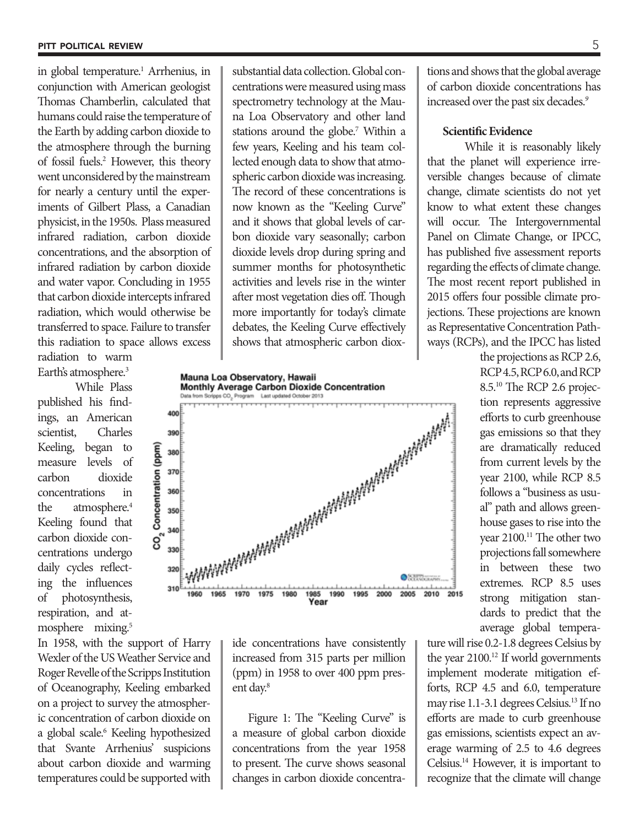in global temperature.<sup>1</sup> Arrhenius, in conjunction with American geologist Thomas Chamberlin, calculated that humans could raise the temperature of the Earth by adding carbon dioxide to the atmosphere through the burning of fossil fuels.2 However, this theory went unconsidered by the mainstream for nearly a century until the experiments of Gilbert Plass, a Canadian physicist, in the 1950s. Plass measured infrared radiation, carbon dioxide concentrations, and the absorption of infrared radiation by carbon dioxide and water vapor. Concluding in 1955 that carbon dioxide intercepts infrared radiation, which would otherwise be transferred to space. Failure to transfer this radiation to space allows excess radiation to warm

Earth's atmosphere.<sup>3</sup>

While Plass published his findings, an American scientist, Charles Keeling, began to measure levels of carbon dioxide concentrations in the atmosphere.<sup>4</sup> Keeling found that carbon dioxide concentrations undergo daily cycles reflecting the influences of photosynthesis, respiration, and atmosphere mixing.<sup>5</sup>

In 1958, with the support of Harry Wexler of the US Weather Service and Roger Revelle of the Scripps Institution of Oceanography, Keeling embarked on a project to survey the atmospheric concentration of carbon dioxide on a global scale.6 Keeling hypothesized that Svante Arrhenius' suspicions about carbon dioxide and warming temperatures could be supported with

substantial data collection. Global concentrations were measured using mass spectrometry technology at the Mauna Loa Observatory and other land stations around the globe.<sup>7</sup> Within a few years, Keeling and his team collected enough data to show that atmospheric carbon dioxide was increasing. The record of these concentrations is now known as the "Keeling Curve" and it shows that global levels of carbon dioxide vary seasonally; carbon dioxide levels drop during spring and summer months for photosynthetic activities and levels rise in the winter after most vegetation dies off. Though more importantly for today's climate debates, the Keeling Curve effectively shows that atmospheric carbon diox-

Mauna Loa Observatory, Hawaii Monthly Average Carbon Dioxide Concentration



ide concentrations have consistently increased from 315 parts per million (ppm) in 1958 to over 400 ppm present day.<sup>8</sup>

Figure 1: The "Keeling Curve" is a measure of global carbon dioxide concentrations from the year 1958 to present. The curve shows seasonal changes in carbon dioxide concentra-

tions and shows that the global average of carbon dioxide concentrations has increased over the past six decades.*<sup>9</sup>*

#### **Scientific Evidence**

While it is reasonably likely that the planet will experience irreversible changes because of climate change, climate scientists do not yet know to what extent these changes will occur. The Intergovernmental Panel on Climate Change, or IPCC, has published five assessment reports regarding the effects of climate change. The most recent report published in 2015 offers four possible climate projections. These projections are known as Representative Concentration Pathways (RCPs), and the IPCC has listed

> the projections as RCP 2.6, RCP 4.5, RCP 6.0, and RCP 8.5.10 The RCP 2.6 projection represents aggressive efforts to curb greenhouse gas emissions so that they are dramatically reduced from current levels by the year 2100, while RCP 8.5 follows a "business as usual" path and allows greenhouse gases to rise into the year 2100.<sup>11</sup> The other two projections fall somewhere in between these two extremes. RCP 8.5 uses strong mitigation standards to predict that the average global tempera-

ture will rise 0.2-1.8 degrees Celsius by the year 2100.12 If world governments implement moderate mitigation efforts, RCP 4.5 and 6.0, temperature may rise 1.1-3.1 degrees Celsius.13 If no efforts are made to curb greenhouse gas emissions, scientists expect an average warming of 2.5 to 4.6 degrees Celsius.14 However, it is important to recognize that the climate will change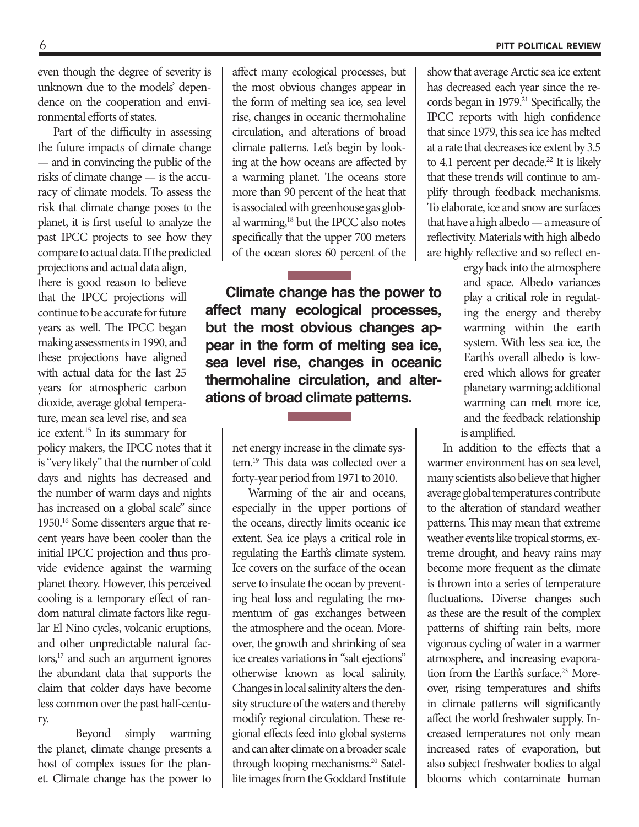even though the degree of severity is unknown due to the models' dependence on the cooperation and environmental efforts of states.

Part of the difficulty in assessing the future impacts of climate change — and in convincing the public of the risks of climate change — is the accuracy of climate models. To assess the risk that climate change poses to the planet, it is first useful to analyze the past IPCC projects to see how they compare to actual data. If the predicted projections and actual data align, there is good reason to believe that the IPCC projections will continue to be accurate for future years as well. The IPCC began making assessments in 1990, and these projections have aligned with actual data for the last 25 years for atmospheric carbon dioxide, average global temperature, mean sea level rise, and sea ice extent.15 In its summary for policy makers, the IPCC notes that it is "very likely" that the number of cold days and nights has decreased and the number of warm days and nights has increased on a global scale" since 1950.16 Some dissenters argue that recent years have been cooler than the initial IPCC projection and thus provide evidence against the warming planet theory. However, this perceived cooling is a temporary effect of random natural climate factors like regular El Nino cycles, volcanic eruptions, and other unpredictable natural factors,<sup>17</sup> and such an argument ignores the abundant data that supports the claim that colder days have become less common over the past half-century.

Beyond simply warming the planet, climate change presents a host of complex issues for the planet. Climate change has the power to affect many ecological processes, but the most obvious changes appear in the form of melting sea ice, sea level rise, changes in oceanic thermohaline circulation, and alterations of broad climate patterns. Let's begin by looking at the how oceans are affected by a warming planet. The oceans store more than 90 percent of the heat that is associated with greenhouse gas global warming,18 but the IPCC also notes specifically that the upper 700 meters of the ocean stores 60 percent of the

 **Climate change has the power to affect many ecological processes, but the most obvious changes appear in the form of melting sea ice, sea level rise, changes in oceanic thermohaline circulation, and alterations of broad climate patterns.**

> net energy increase in the climate system.19 This data was collected over a forty-year period from 1971 to 2010.

> Warming of the air and oceans, especially in the upper portions of the oceans, directly limits oceanic ice extent. Sea ice plays a critical role in regulating the Earth's climate system. Ice covers on the surface of the ocean serve to insulate the ocean by preventing heat loss and regulating the momentum of gas exchanges between the atmosphere and the ocean. Moreover, the growth and shrinking of sea ice creates variations in "salt ejections" otherwise known as local salinity. Changes in local salinity alters the density structure of the waters and thereby modify regional circulation. These regional effects feed into global systems and can alter climate on a broader scale through looping mechanisms.<sup>20</sup> Satellite images from the Goddard Institute

show that average Arctic sea ice extent has decreased each year since the records began in 1979.<sup>21</sup> Specifically, the IPCC reports with high confidence that since 1979, this sea ice has melted at a rate that decreases ice extent by 3.5 to 4.1 percent per decade.<sup>22</sup> It is likely that these trends will continue to amplify through feedback mechanisms. To elaborate, ice and snow are surfaces that have a high albedo — a measure of reflectivity. Materials with high albedo are highly reflective and so reflect en-

> ergy back into the atmosphere and space. Albedo variances play a critical role in regulating the energy and thereby warming within the earth system. With less sea ice, the Earth's overall albedo is lowered which allows for greater planetary warming; additional warming can melt more ice, and the feedback relationship is amplified.

In addition to the effects that a warmer environment has on sea level, many scientists also believe that higher average global temperatures contribute to the alteration of standard weather patterns. This may mean that extreme weather events like tropical storms, extreme drought, and heavy rains may become more frequent as the climate is thrown into a series of temperature fluctuations. Diverse changes such as these are the result of the complex patterns of shifting rain belts, more vigorous cycling of water in a warmer atmosphere, and increasing evaporation from the Earth's surface.<sup>23</sup> Moreover, rising temperatures and shifts in climate patterns will significantly affect the world freshwater supply. Increased temperatures not only mean increased rates of evaporation, but also subject freshwater bodies to algal blooms which contaminate human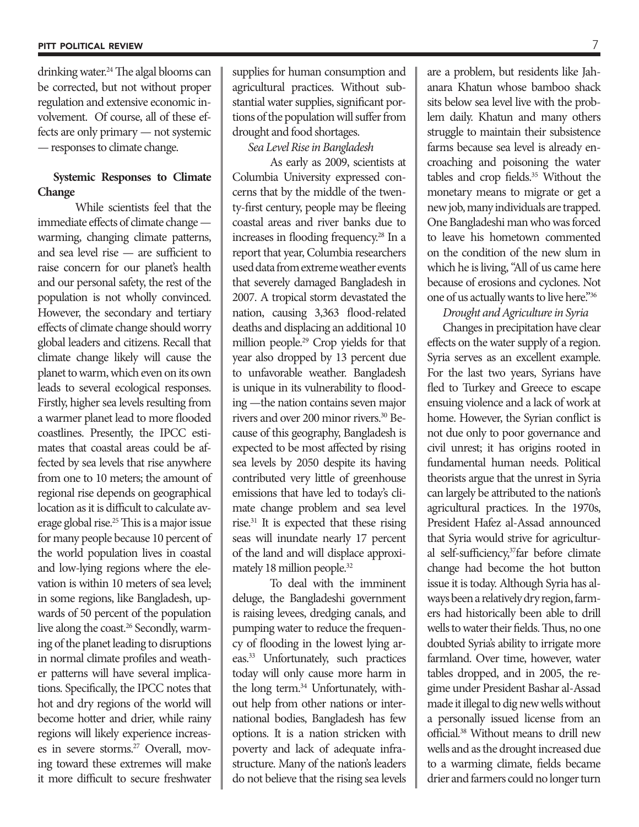drinking water.<sup>24</sup> The algal blooms can be corrected, but not without proper regulation and extensive economic involvement. Of course, all of these effects are only primary — not systemic — responses to climate change.

### **Systemic Responses to Climate Change**

While scientists feel that the immediate effects of climate change warming, changing climate patterns, and sea level rise — are sufficient to raise concern for our planet's health and our personal safety, the rest of the population is not wholly convinced. However, the secondary and tertiary effects of climate change should worry global leaders and citizens. Recall that climate change likely will cause the planet to warm, which even on its own leads to several ecological responses. Firstly, higher sea levels resulting from a warmer planet lead to more flooded coastlines. Presently, the IPCC estimates that coastal areas could be affected by sea levels that rise anywhere from one to 10 meters; the amount of regional rise depends on geographical location as it is difficult to calculate average global rise.25 This is a major issue for many people because 10 percent of the world population lives in coastal and low-lying regions where the elevation is within 10 meters of sea level; in some regions, like Bangladesh, upwards of 50 percent of the population live along the coast.<sup>26</sup> Secondly, warming of the planet leading to disruptions in normal climate profiles and weather patterns will have several implications. Specifically, the IPCC notes that hot and dry regions of the world will become hotter and drier, while rainy regions will likely experience increases in severe storms.27 Overall, moving toward these extremes will make it more difficult to secure freshwater

supplies for human consumption and agricultural practices. Without substantial water supplies, significant portions of the population will suffer from drought and food shortages.

#### *Sea Level Rise in Bangladesh*

As early as 2009, scientists at Columbia University expressed concerns that by the middle of the twenty-first century, people may be fleeing coastal areas and river banks due to increases in flooding frequency.28 In a report that year, Columbia researchers used data from extreme weather events that severely damaged Bangladesh in 2007. A tropical storm devastated the nation, causing 3,363 flood-related deaths and displacing an additional 10 million people.29 Crop yields for that year also dropped by 13 percent due to unfavorable weather. Bangladesh is unique in its vulnerability to flooding —the nation contains seven major rivers and over 200 minor rivers.30 Because of this geography, Bangladesh is expected to be most affected by rising sea levels by 2050 despite its having contributed very little of greenhouse emissions that have led to today's climate change problem and sea level rise.31 It is expected that these rising seas will inundate nearly 17 percent of the land and will displace approximately 18 million people.<sup>32</sup>

To deal with the imminent deluge, the Bangladeshi government is raising levees, dredging canals, and pumping water to reduce the frequency of flooding in the lowest lying areas.33 Unfortunately, such practices today will only cause more harm in the long term.<sup>34</sup> Unfortunately, without help from other nations or international bodies, Bangladesh has few options. It is a nation stricken with poverty and lack of adequate infrastructure. Many of the nation's leaders do not believe that the rising sea levels

are a problem, but residents like Jahanara Khatun whose bamboo shack sits below sea level live with the problem daily. Khatun and many others struggle to maintain their subsistence farms because sea level is already encroaching and poisoning the water tables and crop fields.<sup>35</sup> Without the monetary means to migrate or get a new job, many individuals are trapped. One Bangladeshi man who was forced to leave his hometown commented on the condition of the new slum in which he is living, "All of us came here because of erosions and cyclones. Not one of us actually wants to live here."36

#### *Drought and Agriculture in Syria*

Changes in precipitation have clear effects on the water supply of a region. Syria serves as an excellent example. For the last two years, Syrians have fled to Turkey and Greece to escape ensuing violence and a lack of work at home. However, the Syrian conflict is not due only to poor governance and civil unrest; it has origins rooted in fundamental human needs. Political theorists argue that the unrest in Syria can largely be attributed to the nation's agricultural practices. In the 1970s, President Hafez al-Assad announced that Syria would strive for agricultural self-sufficiency,<sup>37</sup>far before climate change had become the hot button issue it is today. Although Syria has always been a relatively dry region, farmers had historically been able to drill wells to water their fields. Thus, no one doubted Syria's ability to irrigate more farmland. Over time, however, water tables dropped, and in 2005, the regime under President Bashar al-Assad made it illegal to dig new wells without a personally issued license from an official.38 Without means to drill new wells and as the drought increased due to a warming climate, fields became drier and farmers could no longer turn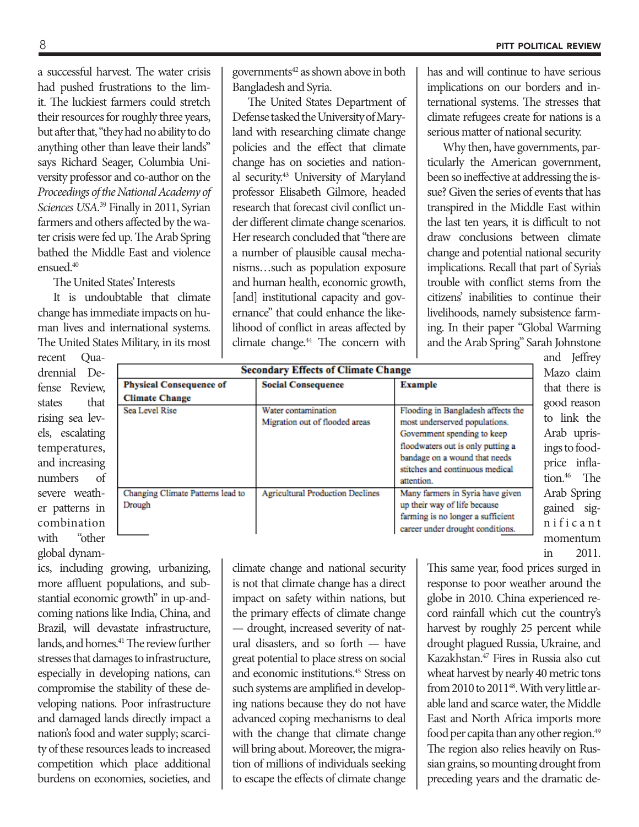a successful harvest. The water crisis had pushed frustrations to the limit. The luckiest farmers could stretch their resources for roughly three years, but after that, "they had no ability to do anything other than leave their lands" says Richard Seager, Columbia University professor and co-author on the *Proceedings of the National Academy of Sciences USA.*39 Finally in 2011, Syrian farmers and others affected by the water crisis were fed up. The Arab Spring bathed the Middle East and violence ensued.40

The United States' Interests

It is undoubtable that climate change has immediate impacts on human lives and international systems. The United States Military, in its most

recent Quadrennial Defense Review states that rising sea levels, escalating temperatures, and increasing numbers of severe weather patterns in combination with "other global dynamgovernments<sup>42</sup> as shown above in both Bangladesh and Syria.

The United States Department of Defense tasked the University of Maryland with researching climate change policies and the effect that climate change has on societies and national security.43 University of Maryland professor Elisabeth Gilmore, headed research that forecast civil conflict under different climate change scenarios. Her research concluded that "there are a number of plausible causal mechanisms…such as population exposure and human health, economic growth, [and] institutional capacity and governance" that could enhance the likelihood of conflict in areas affected by climate change.<sup>44</sup> The concern with has and will continue to have serious implications on our borders and international systems. The stresses that climate refugees create for nations is a serious matter of national security.

Why then, have governments, particularly the American government, been so ineffective at addressing the issue? Given the series of events that has transpired in the Middle East within the last ten years, it is difficult to not draw conclusions between climate change and potential national security implications. Recall that part of Syria's trouble with conflict stems from the citizens' inabilities to continue their livelihoods, namely subsistence farming. In their paper "Global Warming and the Arab Spring" Sarah Johnstone

| <b>Secondary Effects of Climate Change</b>  |                                                       |                                                                                                                                                                                                                           |  |
|---------------------------------------------|-------------------------------------------------------|---------------------------------------------------------------------------------------------------------------------------------------------------------------------------------------------------------------------------|--|
| <b>Physical Consequence of</b>              | <b>Social Consequence</b>                             | <b>Example</b>                                                                                                                                                                                                            |  |
| <b>Climate Change</b>                       |                                                       |                                                                                                                                                                                                                           |  |
| Sea Level Rise                              | Water contamination<br>Migration out of flooded areas | Flooding in Bangladesh affects the<br>most underserved populations.<br>Government spending to keep<br>floodwaters out is only putting a<br>bandage on a wound that needs<br>stitches and continuous medical<br>attention. |  |
| Changing Climate Patterns lead to<br>Drough | <b>Agricultural Production Declines</b>               | Many farmers in Syria have given<br>up their way of life because<br>farming is no longer a sufficient<br>career under drought conditions.                                                                                 |  |

and Jeffrey Mazo claim that there is good reason to link the Arab uprisings to foodprice inflation.<sup>46</sup> The Arab Spring gained sign i f i c a n t momentum in 2011.

ics, including growing, urbanizing, more affluent populations, and substantial economic growth" in up-andcoming nations like India, China, and Brazil, will devastate infrastructure, lands, and homes.<sup>41</sup> The review further stresses that damages to infrastructure, especially in developing nations, can compromise the stability of these developing nations. Poor infrastructure and damaged lands directly impact a nation's food and water supply; scarcity of these resources leads to increased competition which place additional burdens on economies, societies, and

climate change and national security is not that climate change has a direct impact on safety within nations, but the primary effects of climate change — drought, increased severity of natural disasters, and so forth — have great potential to place stress on social and economic institutions.45 Stress on such systems are amplified in developing nations because they do not have advanced coping mechanisms to deal with the change that climate change will bring about. Moreover, the migration of millions of individuals seeking to escape the effects of climate change

This same year, food prices surged in response to poor weather around the globe in 2010. China experienced record rainfall which cut the country's harvest by roughly 25 percent while drought plagued Russia, Ukraine, and Kazakhstan.47 Fires in Russia also cut wheat harvest by nearly 40 metric tons from 2010 to 2011<sup>48</sup>. With very little arable land and scarce water, the Middle East and North Africa imports more food per capita than any other region.<sup>49</sup> The region also relies heavily on Russian grains, so mounting drought from preceding years and the dramatic de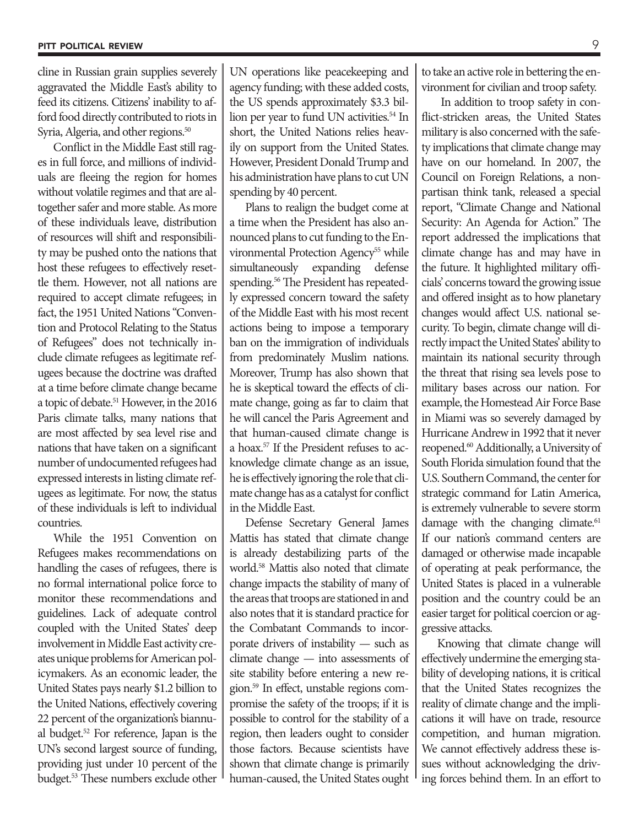cline in Russian grain supplies severely aggravated the Middle East's ability to feed its citizens. Citizens' inability to afford food directly contributed to riots in Syria, Algeria, and other regions.<sup>50</sup>

Conflict in the Middle East still rages in full force, and millions of individuals are fleeing the region for homes without volatile regimes and that are altogether safer and more stable. As more of these individuals leave, distribution of resources will shift and responsibility may be pushed onto the nations that host these refugees to effectively resettle them. However, not all nations are required to accept climate refugees; in fact, the 1951 United Nations "Convention and Protocol Relating to the Status of Refugees" does not technically include climate refugees as legitimate refugees because the doctrine was drafted at a time before climate change became a topic of debate.<sup>51</sup> However, in the 2016 Paris climate talks, many nations that are most affected by sea level rise and nations that have taken on a significant number of undocumented refugees had expressed interests in listing climate refugees as legitimate. For now, the status of these individuals is left to individual countries.

While the 1951 Convention on Refugees makes recommendations on handling the cases of refugees, there is no formal international police force to monitor these recommendations and guidelines. Lack of adequate control coupled with the United States' deep involvement in Middle East activity creates unique problems for American policymakers. As an economic leader, the United States pays nearly \$1.2 billion to the United Nations, effectively covering 22 percent of the organization's biannual budget.52 For reference, Japan is the UN's second largest source of funding, providing just under 10 percent of the budget.53 These numbers exclude other

UN operations like peacekeeping and agency funding; with these added costs, the US spends approximately \$3.3 billion per year to fund UN activities.<sup>54</sup> In short, the United Nations relies heavily on support from the United States. However, President Donald Trump and his administration have plans to cut UN spending by 40 percent.

Plans to realign the budget come at a time when the President has also announced plans to cut funding to the Environmental Protection Agency<sup>55</sup> while simultaneously expanding defense spending.<sup>56</sup> The President has repeatedly expressed concern toward the safety of the Middle East with his most recent actions being to impose a temporary ban on the immigration of individuals from predominately Muslim nations. Moreover, Trump has also shown that he is skeptical toward the effects of climate change, going as far to claim that he will cancel the Paris Agreement and that human-caused climate change is a hoax.57 If the President refuses to acknowledge climate change as an issue, he is effectively ignoring the role that climate change has as a catalyst for conflict in the Middle East.

Defense Secretary General James Mattis has stated that climate change is already destabilizing parts of the world.58 Mattis also noted that climate change impacts the stability of many of the areas that troops are stationed in and also notes that it is standard practice for the Combatant Commands to incorporate drivers of instability — such as climate change — into assessments of site stability before entering a new region.59 In effect, unstable regions compromise the safety of the troops; if it is possible to control for the stability of a region, then leaders ought to consider those factors. Because scientists have shown that climate change is primarily human-caused, the United States ought to take an active role in bettering the environment for civilian and troop safety.

 In addition to troop safety in conflict-stricken areas, the United States military is also concerned with the safety implications that climate change may have on our homeland. In 2007, the Council on Foreign Relations, a nonpartisan think tank, released a special report, "Climate Change and National Security: An Agenda for Action." The report addressed the implications that climate change has and may have in the future. It highlighted military officials' concerns toward the growing issue and offered insight as to how planetary changes would affect U.S. national security. To begin, climate change will directly impact the United States' ability to maintain its national security through the threat that rising sea levels pose to military bases across our nation. For example, the Homestead Air Force Base in Miami was so severely damaged by Hurricane Andrew in 1992 that it never reopened.<sup>60</sup> Additionally, a University of South Florida simulation found that the U.S. Southern Command, the center for strategic command for Latin America, is extremely vulnerable to severe storm damage with the changing climate.<sup>61</sup> If our nation's command centers are damaged or otherwise made incapable of operating at peak performance, the United States is placed in a vulnerable position and the country could be an easier target for political coercion or aggressive attacks.

Knowing that climate change will effectively undermine the emerging stability of developing nations, it is critical that the United States recognizes the reality of climate change and the implications it will have on trade, resource competition, and human migration. We cannot effectively address these issues without acknowledging the driving forces behind them. In an effort to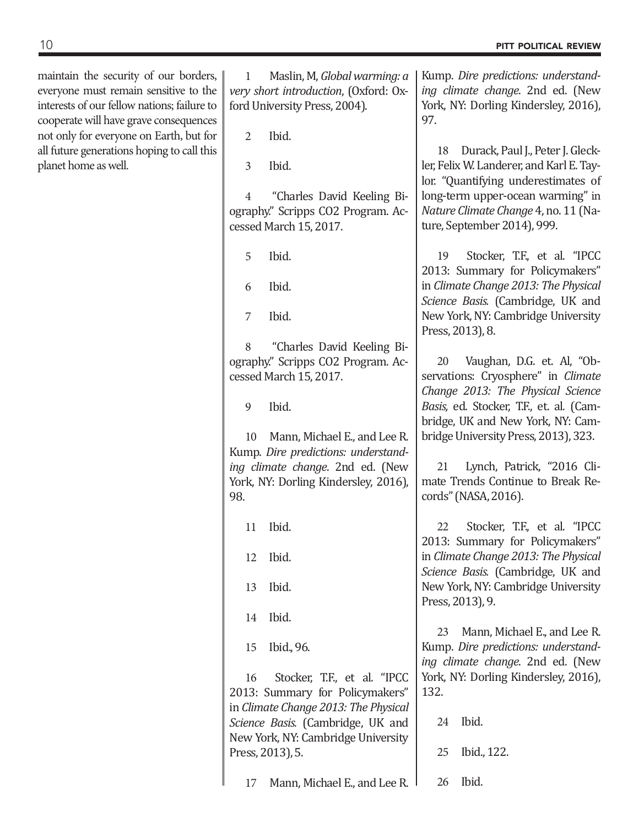maintain the security of our borders, everyone must remain sensitive to the interests of our fellow nations; failure to cooperate will have grave consequences not only for everyone on Earth, but for all future generations hoping to call this planet home as well.

1 Maslin, M, *Global warming: a very short introduction*, (Oxford: Oxford University Press, 2004).

2 Ibid.

3 Ibid.

4 "Charles David Keeling Biography." Scripps CO2 Program. Accessed March 15, 2017.

5 Ibid.

6 Ibid.

7 Ibid.

8 "Charles David Keeling Biography." Scripps CO2 Program. Accessed March 15, 2017.

9 Ibid.

10 Mann, Michael E., and Lee R. Kump. *Dire predictions: understanding climate change*. 2nd ed. (New York, NY: Dorling Kindersley, 2016), 98.

11 Ibid.

12 Ibid.

13 Ibid.

14 Ibid.

15 Ibid., 96.

16 Stocker, T.F., et al. "IPCC 2013: Summary for Policymakers" in *Climate Change 2013: The Physical Science Basis.* (Cambridge, UK and New York, NY: Cambridge University Press, 2013), 5.

17 Mann, Michael E., and Lee R.

Kump. *Dire predictions: understanding climate change*. 2nd ed. (New York, NY: Dorling Kindersley, 2016), 97.

18 Durack, Paul J., Peter J. Gleckler, Felix W. Landerer, and Karl E. Taylor. "Quantifying underestimates of long-term upper-ocean warming" in *Nature Climate Change* 4, no. 11 (Nature, September 2014), 999.

19 Stocker, T.F., et al. "IPCC 2013: Summary for Policymakers" in *Climate Change 2013: The Physical Science Basis.* (Cambridge, UK and New York, NY: Cambridge University Press, 2013), 8.

20 Vaughan, D.G. et. Al, "Observations: Cryosphere" in *Climate Change 2013: The Physical Science Basis,* ed. Stocker, T.F., et. al*.* (Cambridge, UK and New York, NY: Cambridge University Press, 2013), 323.

21 Lynch, Patrick, "2016 Climate Trends Continue to Break Records" (NASA, 2016).

22 Stocker, T.F., et al. "IPCC 2013: Summary for Policymakers" in *Climate Change 2013: The Physical Science Basis.* (Cambridge, UK and New York, NY: Cambridge University Press, 2013), 9.

23 Mann, Michael E., and Lee R. Kump. *Dire predictions: understanding climate change*. 2nd ed. (New York, NY: Dorling Kindersley, 2016), 132.

|  | 24 Ibid.       |
|--|----------------|
|  | 25 Ibid., 122. |
|  | 26 Ibid.       |